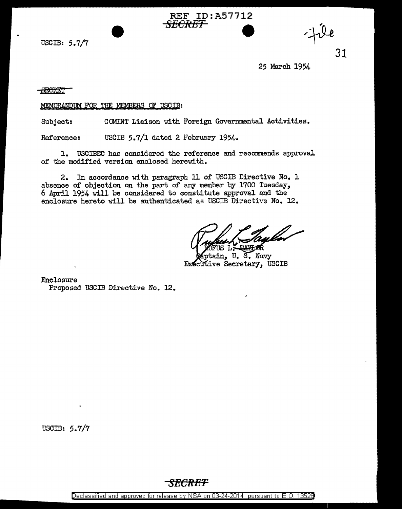USCIB: 5.7/7

31

25 March 1954

<del>SECRET</del>

MEMORANDUM FOR THE MEMBERS OF USCIB:

Subject: COMINT Liaison with Foreign Governmental Activities.

*SECRET* 

REF ID:A57712

Reference: USCIB 5.7/1 dated 2 February 1954.

l. USCIBEC has considered the reference and recommends approval of the modified version enclosed herewith.

2. In accordance with paragraph 11 of USCIB Directive No. 1 absence of objection on the part of any member by 1700 Tuesday, 6 April 1954 will be considered to constitute approval and the enclosure hereto will be authenticated as USCIB Directive No. 12.

U. S. Navy Executive Secretary, USCIB

Enclosure

Proposed USCIB Directive No. 12.

USCIB: 5.7/7

Declassified and approved for release by NSA on 03-24-2014 pursuant to E. 0. 1352B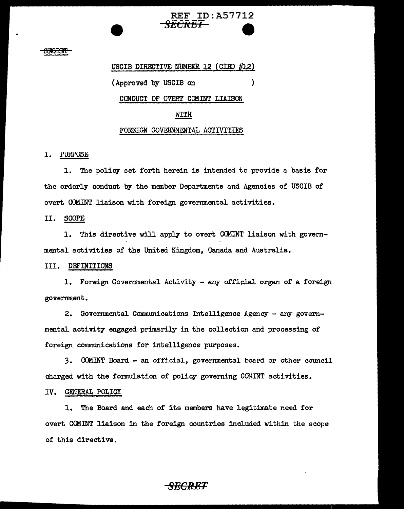# REF ID:A57712 *SECRET*

 $\lambda$ 

#### <del>SECRET</del>

USCIB DIRECTIVE NUMBER 12 (CIBD #12)

(Approved by USCIB on

CONDUCT OF OVERT COMINT LIAISON

### WITH

### FOREIGN GOVERNMENTAL ACTIVITIES

#### I. PURPOSE

1. The policy set forth herein is intended to provide a basis for the orderly conduct by the member Departments and Agencies of USCIB of overt COMINT liaison with foreign governmental activities.

### II. SCOPE

1. This directive will apply to overt COMINT liaison with governmental activities of the United Kingdom, Canada and Australia.

#### III. DEFINITIONS

1. Foreign Governmental Activity - arry official organ of a foreign government.

2. Governmental Communications Intelligence Agency - any governmental activity engaged primarily in the collection and processing of foreign communications for intelligence purposes.

3. COMINT Board - an official, governmental board or other council charged with the formulation of policy governing COMINT activities.

#### IV. GENERAL POLICY

1. The Board and each of its members have legitimate need for overt COMINT liaison in the foreign countries included within the scope of this directive.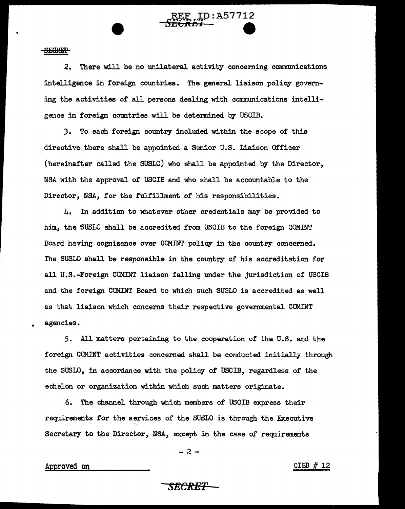**SECRET** 

2. There will be no unilateral activity concerning communications intelligence in foreign countries. The general liaison policy governing the activities of all persons dealing with communications intelligence in foreign countries will be determined by USCIB.

**sr/'' REF** ID:A57712

J. To each foreign country included within the scope of this directive there shall be appointed a Senior U.S. Liaison Officer (hereinafter called the SUSLO) who shall be appointed by the Director, NSA with the approval of USCIB and who shall be accountable to the Director, NSA, for the fulfillment of his responsibilities.

4, In addition to whatever other credentials may be provided to him, the SUSLO shall be accredited from USCIB to the foreign COMINT Board having cognizance over COMINT policy in the country concerned. The SUSLO shall be responsible in the country of his accreditation for all U.S.-Foreign COMINT liaison falling under the jurisdiction of USCIB and the foreign COMINT Board to which such SUSLO is accredited as well as that liaison which concerns their respective governmental COMINT agencies •

5. All matters pertaining to the cooperation of the U.S. and the foreign COMINT activities concerned shall be conducted initially through the SUSLO, in accordance with the policy of USCIB, regardless of the echelon or organization within which such matters originate.

6. The channel through which members of USCIB express their requirements for the services of the SUSLO is through the Executive Secretary to the Director, NSA, except in the case of requirements

 $-2 -$ 

Approved on  $GIBD \# 12$ 

•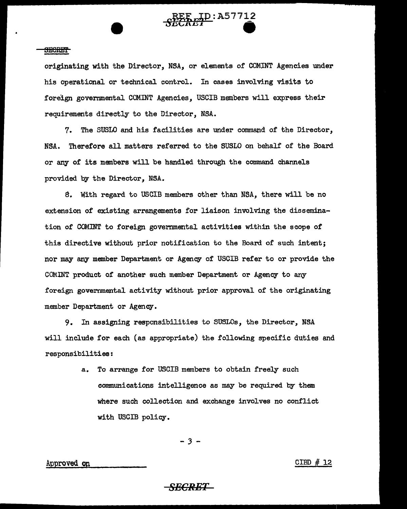

#### **SECRET**

originating with the Director, NSA, or elements of COMINT Agencies under his operational or technical control. In cases involving visits to foreign governmental COMINT Agencies, USCIB members will express their requirements directly to the Director, NSA.

7. The SUSLO and his facilities are under command of the Director, NSA. Therefore all matters referred to the SUSLO on behalf of the Board or any of its members will be handled through the command channels provided by the Director, NSA.

8. With regard to USCIB members other than NSA, there will be no extension of existing arrangements for liaison involving the dissemination of COMINT to foreign governmental activities within the scope of this directive without prior notification to the Board of such intent; nor may any member Department or Agency of USCIB refer to or provide the COMINT product of another such member Department or Agency to any foreign governmental activity without prior approval of the originating member Department or Agency.

9. In assigning responsibilities to SUSLOs, the Director, NSA will include for each (as appropriate) the following specific duties and responsibilities:

> a. To arrange for USCIB members to obtain freely such communications intelligence as may be required. by them where such collection and exchange involves no conflict with USCIB policy.

> > - *3* -

 $\Delta p$  Approved on CIBD # 12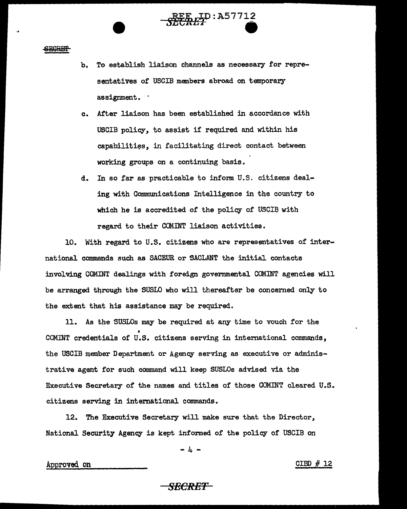<del>SECRET</del>

b. To establish liaison channels as necessary for representatives of USCIB members abroad on temporary assignment.  $\cdot$ 

 $\overbrace{\mathcal{L}\mathcal{L}\mathcal{R}\mathcal{L}\mathcal{L}}^{\text{REF}}$ 

- c. After liaison has been established in accordance with USCIB policy, to assist if required and within his capabilities, in facilitating direct contact between working groups on a continuing basis.
- d. In so tar as practicable to inform U.S. citizens dealing with Communications Intelligence in the country to which he is accredited of the policy of USCIB with regard to their COMINT liaison activities.

10. With regard to U.S. citizens who are representatives of international commands such as SACEUR or SACLANT the initial contacts involving COMINT dealings with foreign governmental COMINT agencies will be arranged through the SUSLO who will thereafter be concerned only to the extent that his assistance may be required.

11. As the SUSLOs may be required at any time to vouch for the I COMINT credentials of U.S. citizens serving in international commands, the USCIB member Department or Agency serving as executive or administrative agent for such conunand will keep SUSLOs advised via the Executive Secretary of the names and titles of those COMINT cleared U.S. citizens serving in international commands.

12. The Executive Secretary will make sure that the Director, National Security Agency is kept informed of the policy of USCIB on

 $- 4 -$ 

Approved on CIBD # 12